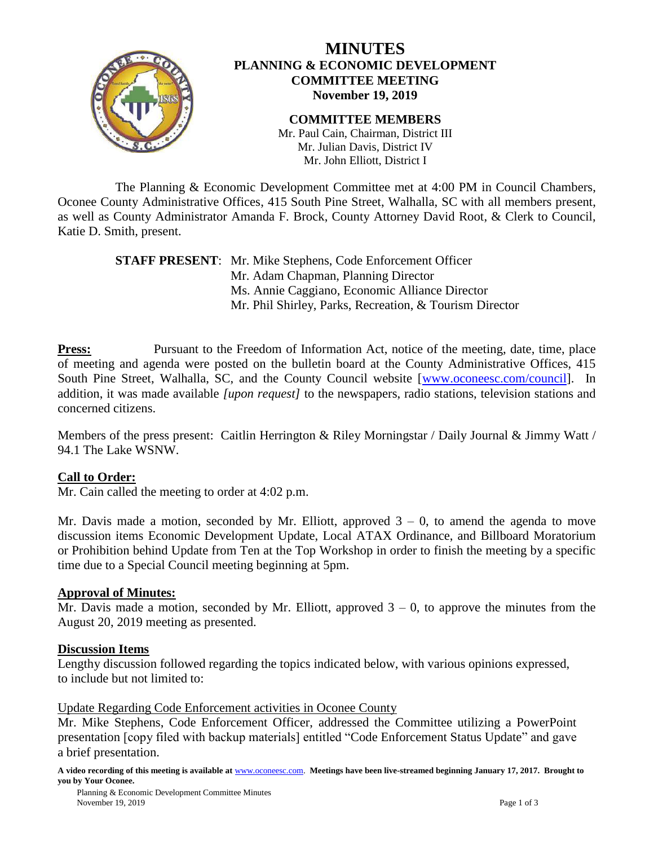

# **MINUTES PLANNING & ECONOMIC DEVELOPMENT COMMITTEE MEETING November 19, 2019**

**COMMITTEE MEMBERS** Mr. Paul Cain, Chairman, District III Mr. Julian Davis, District IV Mr. John Elliott, District I

The Planning & Economic Development Committee met at 4:00 PM in Council Chambers, Oconee County Administrative Offices, 415 South Pine Street, Walhalla, SC with all members present, as well as County Administrator Amanda F. Brock, County Attorney David Root, & Clerk to Council, Katie D. Smith, present.

> **STAFF PRESENT**: Mr. Mike Stephens, Code Enforcement Officer Mr. Adam Chapman, Planning Director Ms. Annie Caggiano, Economic Alliance Director Mr. Phil Shirley, Parks, Recreation, & Tourism Director

**Press:** Pursuant to the Freedom of Information Act, notice of the meeting, date, time, place of meeting and agenda were posted on the bulletin board at the County Administrative Offices, 415 South Pine Street, Walhalla, SC, and the County Council website [\[www.oconeesc.com/council\]](http://www.oconeesc.com/council). In addition, it was made available *[upon request]* to the newspapers, radio stations, television stations and concerned citizens.

Members of the press present: Caitlin Herrington & Riley Morningstar / Daily Journal & Jimmy Watt / 94.1 The Lake WSNW.

### **Call to Order:**

Mr. Cain called the meeting to order at 4:02 p.m.

Mr. Davis made a motion, seconded by Mr. Elliott, approved  $3 - 0$ , to amend the agenda to move discussion items Economic Development Update, Local ATAX Ordinance, and Billboard Moratorium or Prohibition behind Update from Ten at the Top Workshop in order to finish the meeting by a specific time due to a Special Council meeting beginning at 5pm.

### **Approval of Minutes:**

Mr. Davis made a motion, seconded by Mr. Elliott, approved  $3 - 0$ , to approve the minutes from the August 20, 2019 meeting as presented.

### **Discussion Items**

Lengthy discussion followed regarding the topics indicated below, with various opinions expressed, to include but not limited to:

Update Regarding Code Enforcement activities in Oconee County

Mr. Mike Stephens, Code Enforcement Officer, addressed the Committee utilizing a PowerPoint presentation [copy filed with backup materials] entitled "Code Enforcement Status Update" and gave a brief presentation.

**A video recording of this meeting is available at** [www.oconeesc.com.](http://www.oconeesc.com/) **Meetings have been live-streamed beginning January 17, 2017. Brought to you by Your Oconee.**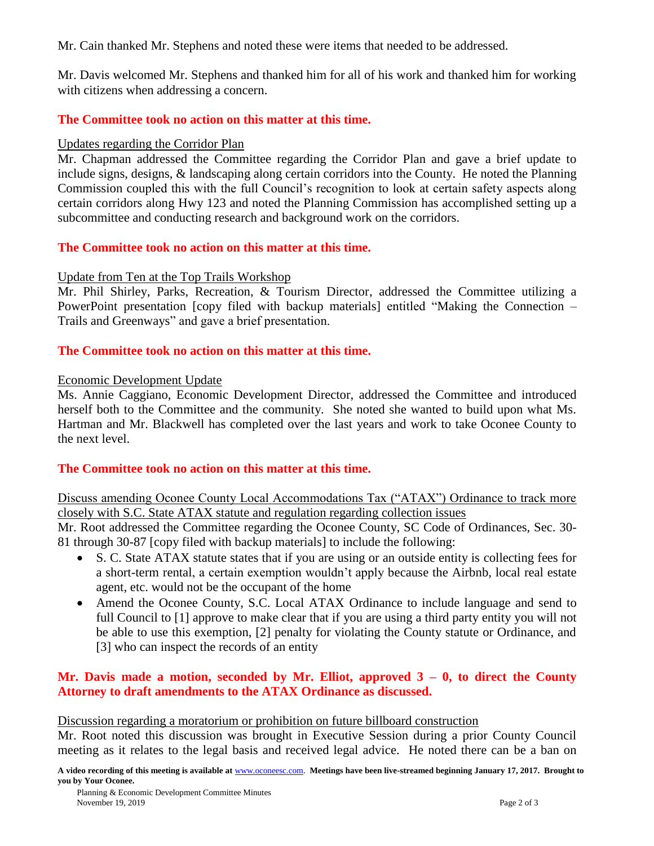Mr. Cain thanked Mr. Stephens and noted these were items that needed to be addressed.

Mr. Davis welcomed Mr. Stephens and thanked him for all of his work and thanked him for working with citizens when addressing a concern.

## **The Committee took no action on this matter at this time.**

### Updates regarding the Corridor Plan

Mr. Chapman addressed the Committee regarding the Corridor Plan and gave a brief update to include signs, designs, & landscaping along certain corridors into the County. He noted the Planning Commission coupled this with the full Council's recognition to look at certain safety aspects along certain corridors along Hwy 123 and noted the Planning Commission has accomplished setting up a subcommittee and conducting research and background work on the corridors.

## **The Committee took no action on this matter at this time.**

## Update from Ten at the Top Trails Workshop

Mr. Phil Shirley, Parks, Recreation, & Tourism Director, addressed the Committee utilizing a PowerPoint presentation [copy filed with backup materials] entitled "Making the Connection – Trails and Greenways" and gave a brief presentation.

## **The Committee took no action on this matter at this time.**

### Economic Development Update

Ms. Annie Caggiano, Economic Development Director, addressed the Committee and introduced herself both to the Committee and the community. She noted she wanted to build upon what Ms. Hartman and Mr. Blackwell has completed over the last years and work to take Oconee County to the next level.

# **The Committee took no action on this matter at this time.**

Discuss amending Oconee County Local Accommodations Tax ("ATAX") Ordinance to track more closely with S.C. State ATAX statute and regulation regarding collection issues

Mr. Root addressed the Committee regarding the Oconee County, SC Code of Ordinances, Sec. 30- 81 through 30-87 [copy filed with backup materials] to include the following:

- S. C. State ATAX statute states that if you are using or an outside entity is collecting fees for a short-term rental, a certain exemption wouldn't apply because the Airbnb, local real estate agent, etc. would not be the occupant of the home
- Amend the Oconee County, S.C. Local ATAX Ordinance to include language and send to full Council to [1] approve to make clear that if you are using a third party entity you will not be able to use this exemption, [2] penalty for violating the County statute or Ordinance, and [3] who can inspect the records of an entity

# Mr. Davis made a motion, seconded by Mr. Elliot, approved  $3 - 0$ , to direct the County **Attorney to draft amendments to the ATAX Ordinance as discussed.**

### Discussion regarding a moratorium or prohibition on future billboard construction

Mr. Root noted this discussion was brought in Executive Session during a prior County Council meeting as it relates to the legal basis and received legal advice. He noted there can be a ban on